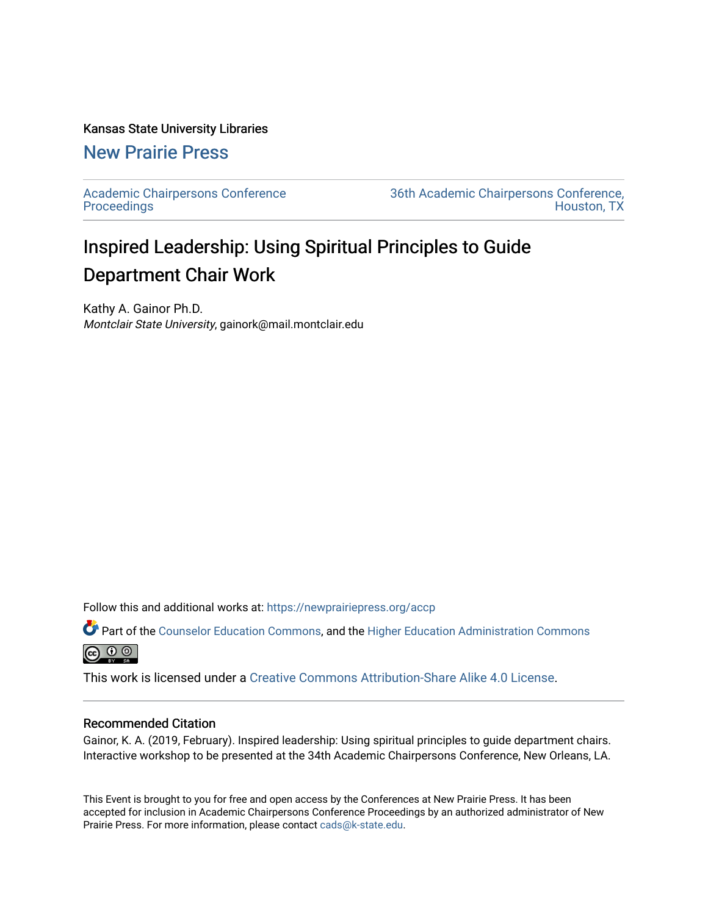#### Kansas State University Libraries

# [New Prairie Press](https://newprairiepress.org/)

[Academic Chairpersons Conference](https://newprairiepress.org/accp)  **Proceedings** 

[36th Academic Chairpersons Conference,](https://newprairiepress.org/accp/2019)  [Houston, TX](https://newprairiepress.org/accp/2019) 

# Inspired Leadership: Using Spiritual Principles to Guide Department Chair Work

Kathy A. Gainor Ph.D. Montclair State University, gainork@mail.montclair.edu

Follow this and additional works at: [https://newprairiepress.org/accp](https://newprairiepress.org/accp?utm_source=newprairiepress.org%2Faccp%2F2019%2Fleadership%2F4&utm_medium=PDF&utm_campaign=PDFCoverPages) 

Part of the [Counselor Education Commons,](http://network.bepress.com/hgg/discipline/1278?utm_source=newprairiepress.org%2Faccp%2F2019%2Fleadership%2F4&utm_medium=PDF&utm_campaign=PDFCoverPages) and the [Higher Education Administration Commons](http://network.bepress.com/hgg/discipline/791?utm_source=newprairiepress.org%2Faccp%2F2019%2Fleadership%2F4&utm_medium=PDF&utm_campaign=PDFCoverPages)  $\bigcirc$   $\bigcirc$   $\bigcirc$ 

This work is licensed under a [Creative Commons Attribution-Share Alike 4.0 License.](https://creativecommons.org/licenses/by-sa/4.0/)

#### Recommended Citation

Gainor, K. A. (2019, February). Inspired leadership: Using spiritual principles to guide department chairs. Interactive workshop to be presented at the 34th Academic Chairpersons Conference, New Orleans, LA.

This Event is brought to you for free and open access by the Conferences at New Prairie Press. It has been accepted for inclusion in Academic Chairpersons Conference Proceedings by an authorized administrator of New Prairie Press. For more information, please contact [cads@k-state.edu.](mailto:cads@k-state.edu)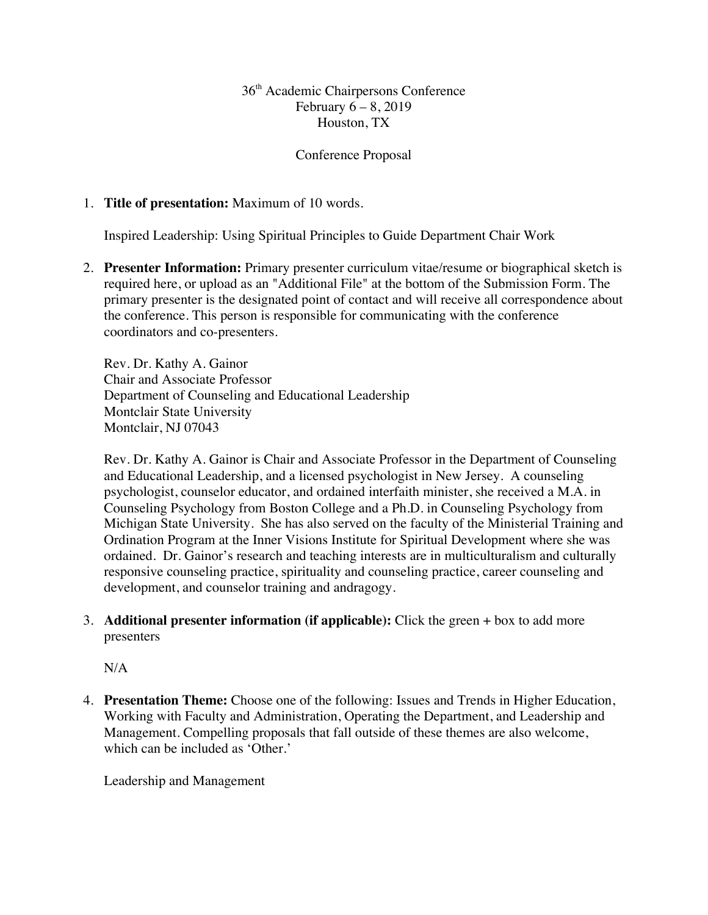36<sup>th</sup> Academic Chairpersons Conference February  $6 - 8$ , 2019 Houston, TX

#### Conference Proposal

#### 1. **Title of presentation:** Maximum of 10 words.

Inspired Leadership: Using Spiritual Principles to Guide Department Chair Work

2. **Presenter Information:** Primary presenter curriculum vitae/resume or biographical sketch is required here, or upload as an "Additional File" at the bottom of the Submission Form. The primary presenter is the designated point of contact and will receive all correspondence about the conference. This person is responsible for communicating with the conference coordinators and co-presenters.

Rev. Dr. Kathy A. Gainor Chair and Associate Professor Department of Counseling and Educational Leadership Montclair State University Montclair, NJ 07043

Rev. Dr. Kathy A. Gainor is Chair and Associate Professor in the Department of Counseling and Educational Leadership, and a licensed psychologist in New Jersey. A counseling psychologist, counselor educator, and ordained interfaith minister, she received a M.A. in Counseling Psychology from Boston College and a Ph.D. in Counseling Psychology from Michigan State University. She has also served on the faculty of the Ministerial Training and Ordination Program at the Inner Visions Institute for Spiritual Development where she was ordained. Dr. Gainor's research and teaching interests are in multiculturalism and culturally responsive counseling practice, spirituality and counseling practice, career counseling and development, and counselor training and andragogy.

3. **Additional presenter information (if applicable):** Click the green + box to add more presenters

N/A

4. **Presentation Theme:** Choose one of the following: Issues and Trends in Higher Education, Working with Faculty and Administration, Operating the Department, and Leadership and Management. Compelling proposals that fall outside of these themes are also welcome, which can be included as 'Other.'

Leadership and Management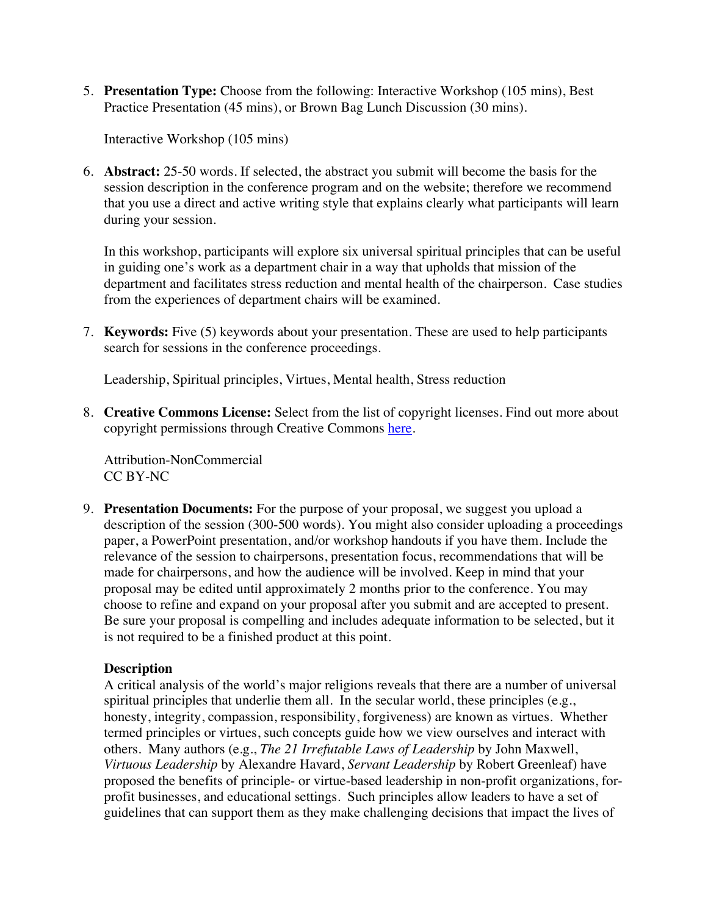5. **Presentation Type:** Choose from the following: Interactive Workshop (105 mins), Best Practice Presentation (45 mins), or Brown Bag Lunch Discussion (30 mins).

Interactive Workshop (105 mins)

6. **Abstract:** 25-50 words. If selected, the abstract you submit will become the basis for the session description in the conference program and on the website; therefore we recommend that you use a direct and active writing style that explains clearly what participants will learn during your session.

In this workshop, participants will explore six universal spiritual principles that can be useful in guiding one's work as a department chair in a way that upholds that mission of the department and facilitates stress reduction and mental health of the chairperson. Case studies from the experiences of department chairs will be examined.

7. **Keywords:** Five (5) keywords about your presentation. These are used to help participants search for sessions in the conference proceedings.

Leadership, Spiritual principles, Virtues, Mental health, Stress reduction

8. **Creative Commons License:** Select from the list of copyright licenses. Find out more about copyright permissions through Creative Commons here.

Attribution-NonCommercial CC BY-NC

9. **Presentation Documents:** For the purpose of your proposal, we suggest you upload a description of the session (300-500 words). You might also consider uploading a proceedings paper, a PowerPoint presentation, and/or workshop handouts if you have them. Include the relevance of the session to chairpersons, presentation focus, recommendations that will be made for chairpersons, and how the audience will be involved. Keep in mind that your proposal may be edited until approximately 2 months prior to the conference. You may choose to refine and expand on your proposal after you submit and are accepted to present. Be sure your proposal is compelling and includes adequate information to be selected, but it is not required to be a finished product at this point.

## **Description**

A critical analysis of the world's major religions reveals that there are a number of universal spiritual principles that underlie them all. In the secular world, these principles (e.g., honesty, integrity, compassion, responsibility, forgiveness) are known as virtues. Whether termed principles or virtues, such concepts guide how we view ourselves and interact with others. Many authors (e.g., *The 21 Irrefutable Laws of Leadership* by John Maxwell, *Virtuous Leadership* by Alexandre Havard, *Servant Leadership* by Robert Greenleaf) have proposed the benefits of principle- or virtue-based leadership in non-profit organizations, forprofit businesses, and educational settings. Such principles allow leaders to have a set of guidelines that can support them as they make challenging decisions that impact the lives of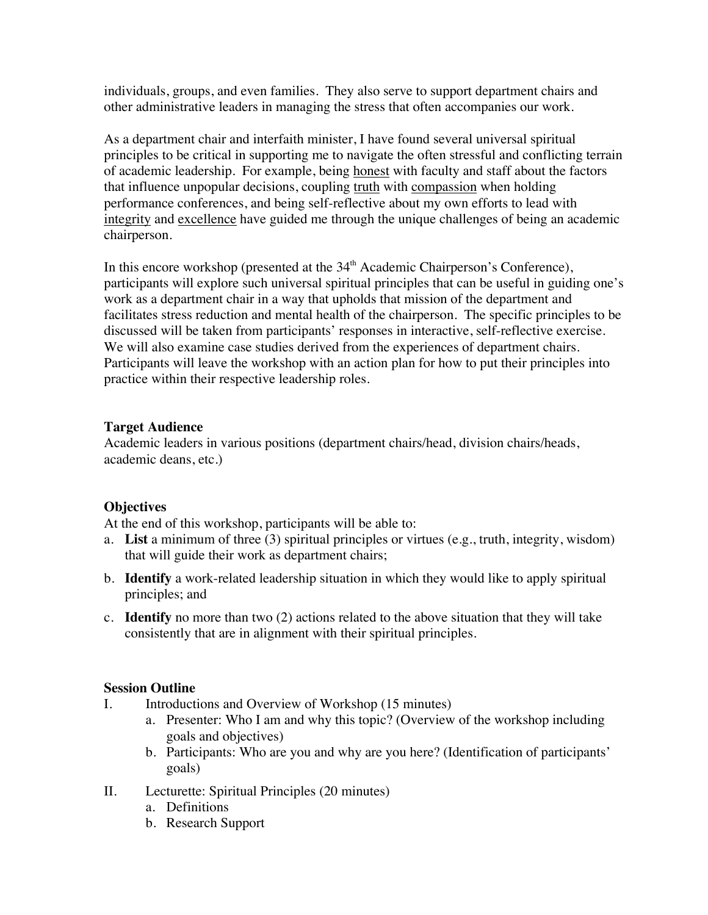individuals, groups, and even families. They also serve to support department chairs and other administrative leaders in managing the stress that often accompanies our work.

As a department chair and interfaith minister, I have found several universal spiritual principles to be critical in supporting me to navigate the often stressful and conflicting terrain of academic leadership. For example, being honest with faculty and staff about the factors that influence unpopular decisions, coupling truth with compassion when holding performance conferences, and being self-reflective about my own efforts to lead with integrity and excellence have guided me through the unique challenges of being an academic chairperson.

In this encore workshop (presented at the  $34<sup>th</sup>$  Academic Chairperson's Conference), participants will explore such universal spiritual principles that can be useful in guiding one's work as a department chair in a way that upholds that mission of the department and facilitates stress reduction and mental health of the chairperson. The specific principles to be discussed will be taken from participants' responses in interactive, self-reflective exercise. We will also examine case studies derived from the experiences of department chairs. Participants will leave the workshop with an action plan for how to put their principles into practice within their respective leadership roles.

#### **Target Audience**

Academic leaders in various positions (department chairs/head, division chairs/heads, academic deans, etc.)

## **Objectives**

At the end of this workshop, participants will be able to:

- a. **List** a minimum of three (3) spiritual principles or virtues (e.g., truth, integrity, wisdom) that will guide their work as department chairs;
- b. **Identify** a work-related leadership situation in which they would like to apply spiritual principles; and
- c. **Identify** no more than two (2) actions related to the above situation that they will take consistently that are in alignment with their spiritual principles.

## **Session Outline**

- I. Introductions and Overview of Workshop (15 minutes)
	- a. Presenter: Who I am and why this topic? (Overview of the workshop including goals and objectives)
	- b. Participants: Who are you and why are you here? (Identification of participants' goals)
- II. Lecturette: Spiritual Principles (20 minutes)
	- a. Definitions
	- b. Research Support